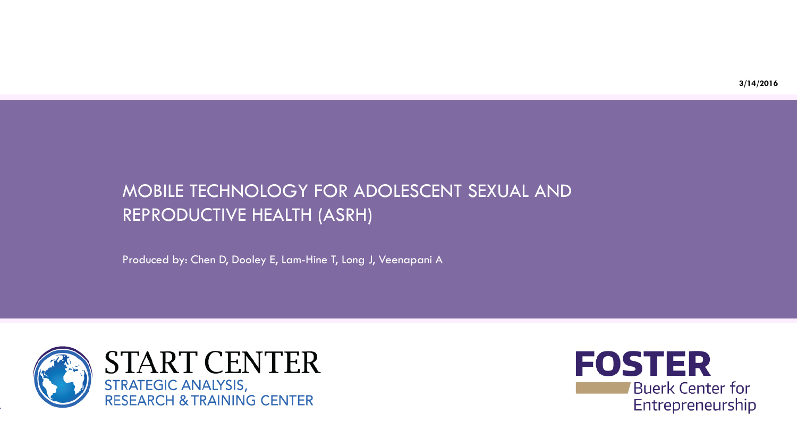# MOBILE TECHNOLOGY FOR ADOLESCENT SEXUAL AND REPRODUCTIVE HEALTH (ASRH)

Produced by: Chen D, Dooley E, Lam-Hine T, Long J, Veenapani A



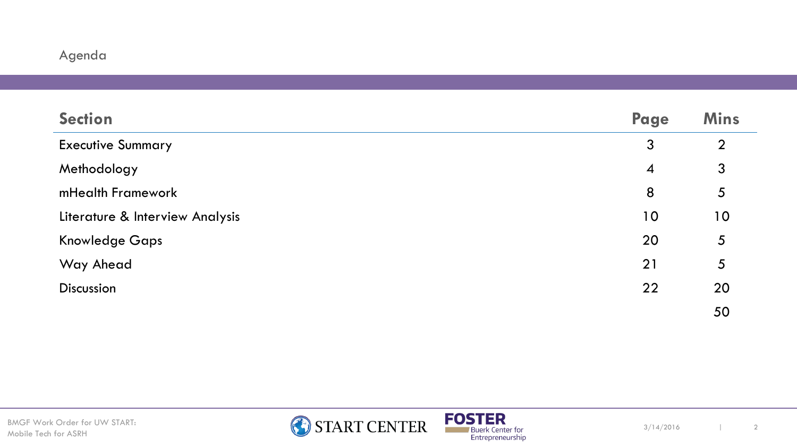## Agenda

| <b>Section</b>                  | Page             | <b>Mins</b>    |
|---------------------------------|------------------|----------------|
| <b>Executive Summary</b>        | 3                | $\overline{2}$ |
| Methodology                     | $\boldsymbol{4}$ | 3              |
| mHealth Framework               | 8                | $\overline{5}$ |
| Literature & Interview Analysis | 10               | 10             |
| <b>Knowledge Gaps</b>           | 20               | 5              |
| Way Ahead                       | 21               | 5              |
| <b>Discussion</b>               | 22               | 20             |
|                                 |                  | 50             |



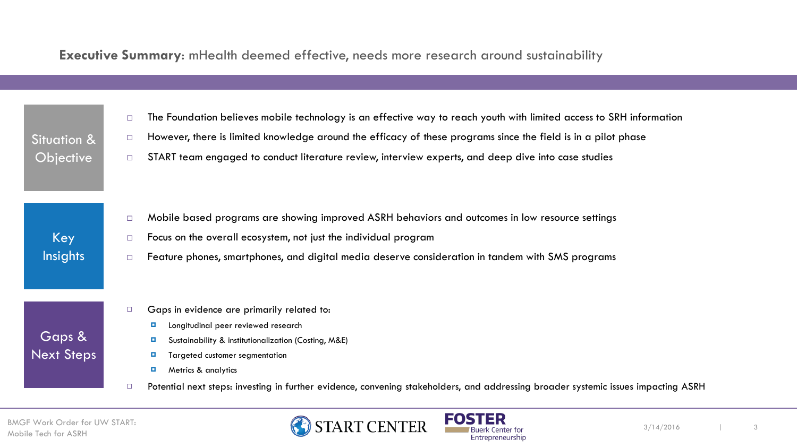## **Executive Summary**: mHealth deemed effective, needs more research around sustainability

| Situation &<br><b>Objective</b> | The Foundation believes mobile technology is an effective way to reach youth with limited access to SRH information<br>$\Box$<br>However, there is limited knowledge around the efficacy of these programs since the field is in a pilot phase<br>$\Box$<br>START team engaged to conduct literature review, interview experts, and deep dive into case studies<br>$\Box$   |
|---------------------------------|-----------------------------------------------------------------------------------------------------------------------------------------------------------------------------------------------------------------------------------------------------------------------------------------------------------------------------------------------------------------------------|
| Key<br><b>Insights</b>          | Mobile based programs are showing improved ASRH behaviors and outcomes in low resource settings<br>$\Box$<br>Focus on the overall ecosystem, not just the individual program<br>$\Box$<br>Feature phones, smartphones, and digital media deserve consideration in tandem with SMS programs<br>$\Box$                                                                        |
| Gaps &<br><b>Next Steps</b>     | Gaps in evidence are primarily related to:<br>$\Box$<br>Longitudinal peer reviewed research<br>о<br>Sustainability & institutionalization (Costing, M&E)<br>о<br>Targeted customer segmentation<br>о<br>Metrics & analytics<br>о<br>Potential next steps: investing in further evidence, convening stakeholders, and addressing broader systemic issues impacting ASRH<br>□ |



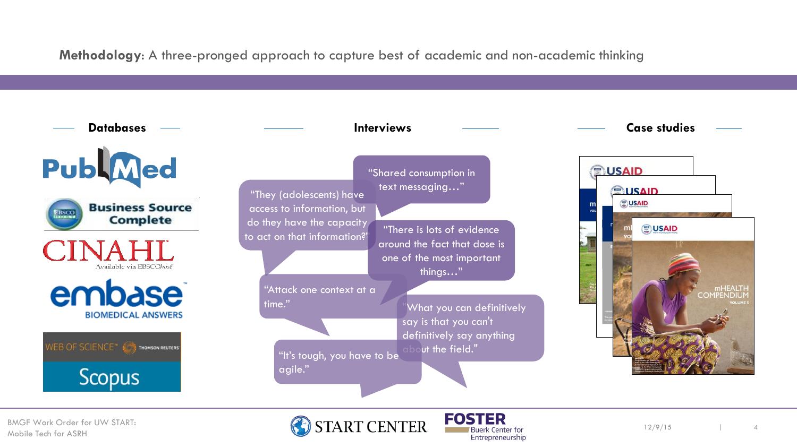**Methodology**: A three-pronged approach to capture best of academic and non-academic thinking



**FOSTER** 

**Juerk Center for** Entrepreneurship



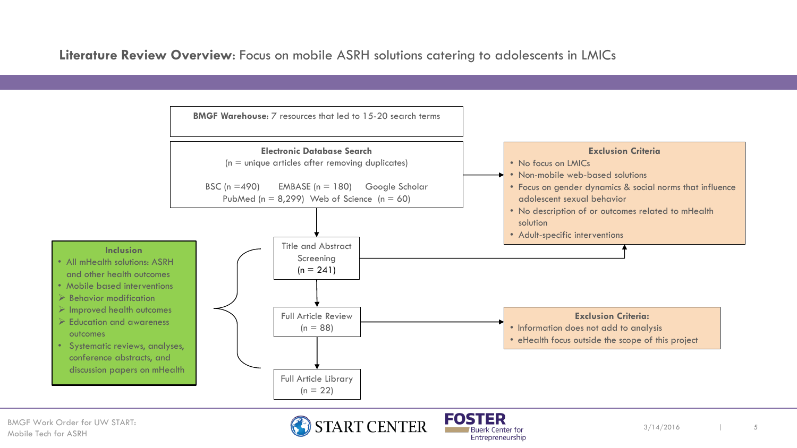## **Literature Review Overview**: Focus on mobile ASRH solutions catering to adolescents in LMICs



Jerk Center for Entrepreneurship



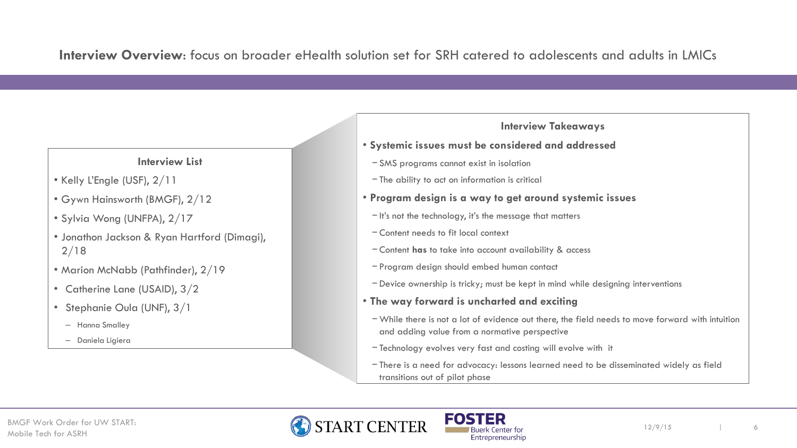## **Interview Overview**: focus on broader eHealth solution set for SRH catered to adolescents and adults in LMICs

#### **Interview List**

- Kelly L'Engle (USF), 2/11
- Gywn Hainsworth (BMGF), 2/12
- Sylvia Wong (UNFPA), 2/17
- Jonathon Jackson & Ryan Hartford (Dimagi), 2/18
- Marion McNabb (Pathfinder), 2/19
- Catherine Lane (USAID),  $3/2$
- Stephanie Oula (UNF), 3/1
	- Hanna Smalley
	- ‒ Daniela Ligiera

### **Interview Takeaways**

#### • **Systemic issues must be considered and addressed**

- − SMS programs cannot exist in isolation
- − The ability to act on information is critical

### • **Program design is a way to get around systemic issues**

- − It's not the technology, it's the message that matters
- − Content needs to fit local context
- − Content **has** to take into account availability & access
- − Program design should embed human contact
- − Device ownership is tricky; must be kept in mind while designing interventions
- **The way forward is uncharted and exciting** 
	- −While there is not a lot of evidence out there, the field needs to move forward with intuition and adding value from a normative perspective
	- − Technology evolves very fast and costing will evolve with it
	- − There is a need for advocacy: lessons learned need to be disseminated widely as field transitions out of pilot phase



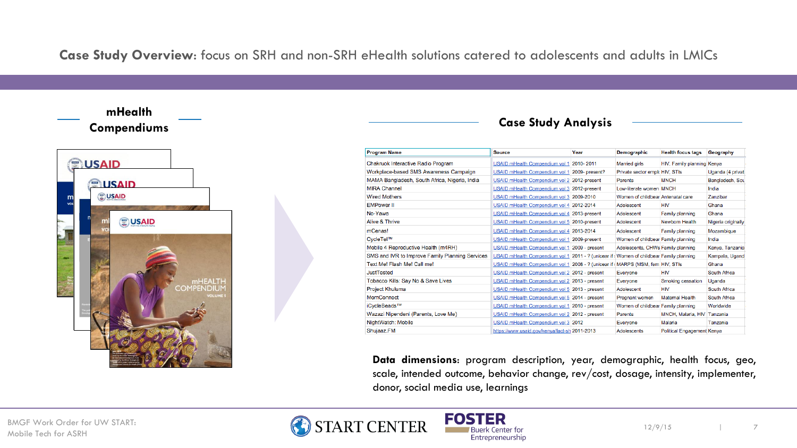## **Case Study Overview**: focus on SRH and non-SRH eHealth solutions catered to adolescents and adults in LMICs

## **mHealth Compendiums Compendiums Compendiums Case Study Analysis**



| <b>Program Name</b>                             | <b>Source</b>                                                                            | Year | <b>Demographic</b>                 | <b>Health focus tags</b>    | Geography          |
|-------------------------------------------------|------------------------------------------------------------------------------------------|------|------------------------------------|-----------------------------|--------------------|
| Chakruok Interactive Radio Program              | USAID mHealth Compendium vol 1 2010-2011                                                 |      | Married girls                      | HIV, Family planning Kenya  |                    |
| Workplace-based SMS Awareness Campaign          | USAID mHealth Compendium vol 1 2009- present?                                            |      | Private sector emplo HIV, STIs     |                             | Uganda (4 privat   |
| MAMA Bangladesh, South Africa, Nigeria, India   | USAID mHealth Compendium vol 2 2012-present                                              |      | Parents                            | <b>MNCH</b>                 | Bangladesh, Sou    |
| <b>MIRA Channel</b>                             | USAID mHealth Compendium vol 3 2012-present                                              |      | Low-literate women MNCH            |                             | India              |
| <b>Wired Mothers</b>                            | USAID mHealth Compendium vol 3 2009-2010                                                 |      | Women of childbear Antenatal care  |                             | Zanzibar           |
| <b>EMPower II</b>                               | USAID mHealth Compendium vol 4 2012-2014                                                 |      | Adolescent                         | <b>HIV</b>                  | Ghana              |
| No-Yawa                                         | USAID mHealth Compendium vol 4 2013-present                                              |      | Adolescent                         | Family planning             | Ghana              |
| Alive & Thrive                                  | USAID mHealth Compendium vol 5 2010-present                                              |      | Adolescent                         | Newborn Health              | Nigeria originally |
| mCenas!                                         | USAID mHealth Compendium vol 4 2013-2014                                                 |      | Adolescent                         | Family planning             | Mozambique         |
| CycleTel™                                       | USAID mHealth Compendium vol 1 2009-present                                              |      | Women of childbear Family planning |                             | India              |
| Mobile 4 Reproductive Health (m4RH)             | USAID mHealth Compendium vol 1 2009 - present                                            |      | Adolescents, CHWs Family planning  |                             | Kenya, Tanzania    |
| SMS and IVR to Improve Family Planning Services | USAID mHealth Compendium vol 1 2011 - ? (unicear if s Women of childbear Family planning |      |                                    |                             | Kampala, Ugand     |
| Text Me! Flash Me! Call me!                     | USAID mHealth Compendium vol 1 2008 - ? (unicear if : MARPS (MSM, fem HIV, STIs          |      |                                    |                             | Ghana              |
| JustTested                                      | USAID mHealth Compendium vol 2 2012 - present                                            |      | Everyone                           | <b>HIV</b>                  | South Africa       |
| Tobacco Kills: Say No & Save Lives              | USAID mHealth Compendium vol 2 2013 - present                                            |      | Everyone                           | Smoking cessation           | Uganda             |
| <b>Project Khuluma</b>                          | USAID mHealth Compendium vol 5 2013 - present                                            |      | Adolescent                         | <b>HIV</b>                  | South Africa       |
| <b>MomConnect</b>                               | USAID mHealth Compendium vol 5 2014 - present                                            |      | Pregnant women                     | Maternal Health             | South Africa       |
| iCycleBeads™                                    | USAID mHealth Compendium vol 1 2010 - present                                            |      | Women of childbear Family planning |                             | Worldwide          |
| Wazazi Nipendeni (Parents, Love Me)             | USAID mHealth Compendium vol 2 2012 - present                                            |      | Parents                            | MNCH, Malaria, HIV Tanzania |                    |
| NightWatch: Mobile                              | USAID mHealth Compendium vol 3 2012                                                      |      | Everyone                           | Malaria                     | Tanzania           |
| Shujaaz.FM                                      | https://www.usaid.gov/kenya/fact-sh 2011-2013                                            |      | Adolescents                        | Political Engagement Kenya  |                    |

**Data dimensions**: program description, year, demographic, health focus, geo, scale, intended outcome, behavior change, rev/cost, dosage, intensity, implementer, donor, social media use, learnings



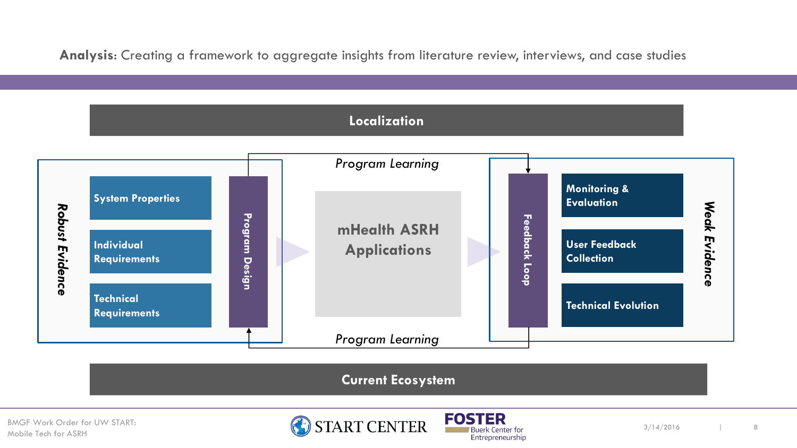**Analysis**: Creating a framework to aggregate insights from literature review, interviews, and case studies



**Current Ecosystem**

**FOSTER** 

Jerk Center for Entrepreneurship

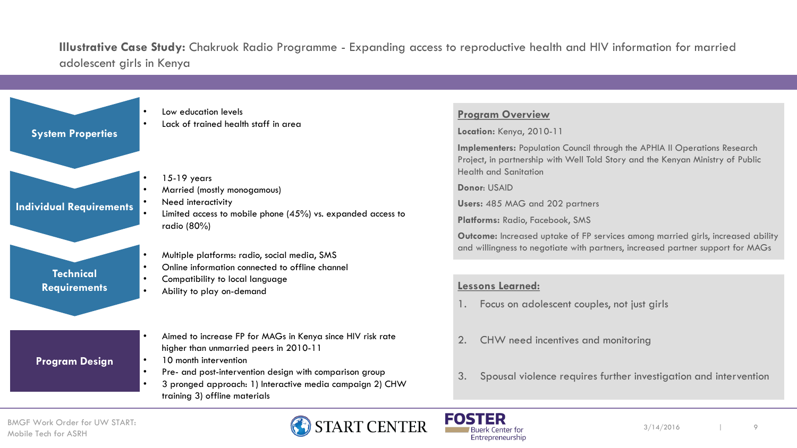## **Illustrative Case Study:** Chakruok Radio Programme - Expanding access to reproductive health and HIV information for married adolescent girls in Kenya



#### **Program Overview**

**Location:** Kenya, 2010-11

**Implementers:** Population Council through the APHIA II Operations Research Project, in partnership with Well Told Story and the Kenyan Ministry of Public Health and Sanitation

**Donor**: USAID

**Users:** 485 MAG and 202 partners

**Platforms:** Radio, Facebook, SMS

**Outcome:** Increased uptake of FP services among married girls, increased ability and willingness to negotiate with partners, increased partner support for MAGs

- 1. Focus on adolescent couples, not just girls
- 2. CHW need incentives and monitoring
- 3. Spousal violence requires further investigation and intervention



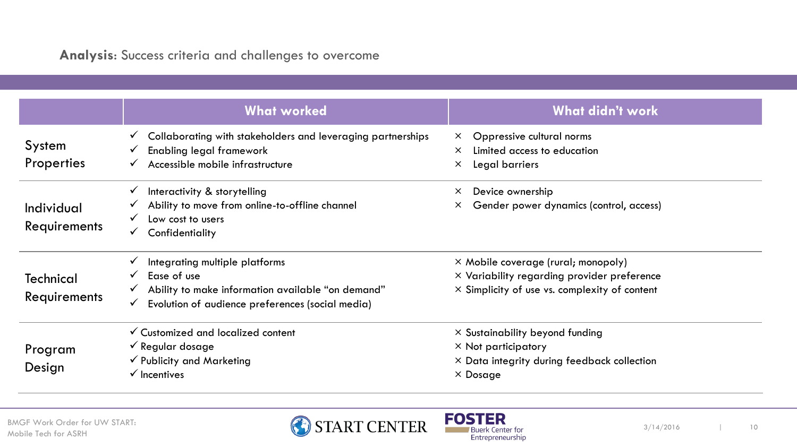|                                  | <b>What worked</b>                                                                                                                                                                                  | What didn't work                                                                                                                                  |
|----------------------------------|-----------------------------------------------------------------------------------------------------------------------------------------------------------------------------------------------------|---------------------------------------------------------------------------------------------------------------------------------------------------|
| System<br>Properties             | Collaborating with stakeholders and leveraging partnerships<br>$\checkmark$<br><b>Enabling legal framework</b><br>V<br>Accessible mobile infrastructure                                             | $\times$ Oppressive cultural norms<br>Limited access to education<br>$\times$<br>Legal barriers<br>$\times$                                       |
| Individual<br>Requirements       | Interactivity & storytelling<br>$\checkmark$<br>Ability to move from online-to-offline channel<br>$\checkmark$<br>Low cost to users<br>Confidentiality<br>$\checkmark$                              | Device ownership<br>$\times$<br>Gender power dynamics (control, access)<br>$\times$                                                               |
| <b>Technical</b><br>Requirements | Integrating multiple platforms<br>Ease of use<br>$\checkmark$<br>Ability to make information available "on demand"<br>$\checkmark$<br>$\checkmark$ Evolution of audience preferences (social media) | $\times$ Mobile coverage (rural; monopoly)<br>× Variability regarding provider preference<br>$\times$ Simplicity of use vs. complexity of content |
| Program<br>Design                | $\checkmark$ Customized and localized content<br>$\checkmark$ Regular dosage<br>✔ Publicity and Marketing<br>$\checkmark$ Incentives                                                                | $\times$ Sustainability beyond funding<br>$\times$ Not participatory<br>× Data integrity during feedback collection<br>$\times$ Dosage            |



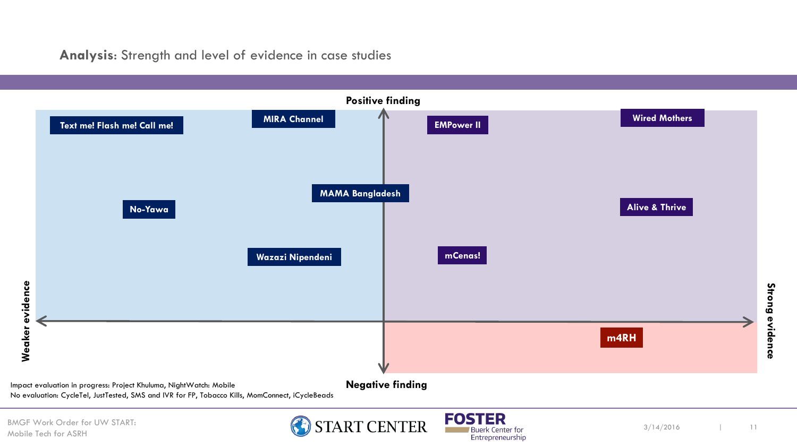**Analysis**: Strength and level of evidence in case studies



**Buerk Center for** Entrepreneurship

BMGF Work Order for UW START: Mobile Tech for ASRH



| 3/14/2016 11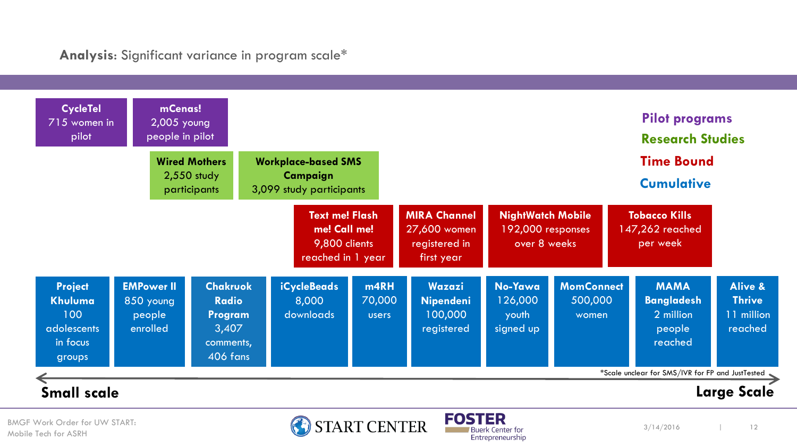

Entrepreneurship

Mobile Tech for ASRH

| 3/14/2016 12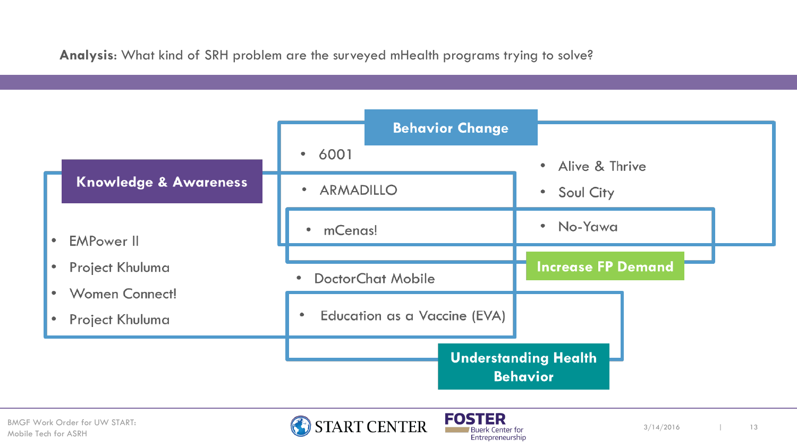**Analysis**: What kind of SRH problem are the surveyed mHealth programs trying to solve?

|                                                                           | <b>Behavior Change</b><br>6001<br>$\bullet$ |                                                |
|---------------------------------------------------------------------------|---------------------------------------------|------------------------------------------------|
| <b>Knowledge &amp; Awareness</b>                                          | <b>ARMADILLO</b><br>$\bullet$               | Alive & Thrive<br>Soul City<br>$\bullet$       |
| <b>EMPower II</b><br>$\bullet$                                            | mCenas!<br>$\bullet$                        | No-Yawa<br>$\bullet$                           |
| <b>Project Khuluma</b><br>$\bullet$                                       | <b>DoctorChat Mobile</b><br>$\bullet$       | <b>Increase FP Demand</b>                      |
| <b>Women Connect!</b><br>$\bullet$<br><b>Project Khuluma</b><br>$\bullet$ | Education as a Vaccine (EVA)<br>$\bullet$   |                                                |
|                                                                           |                                             | <b>Understanding Health</b><br><b>Behavior</b> |



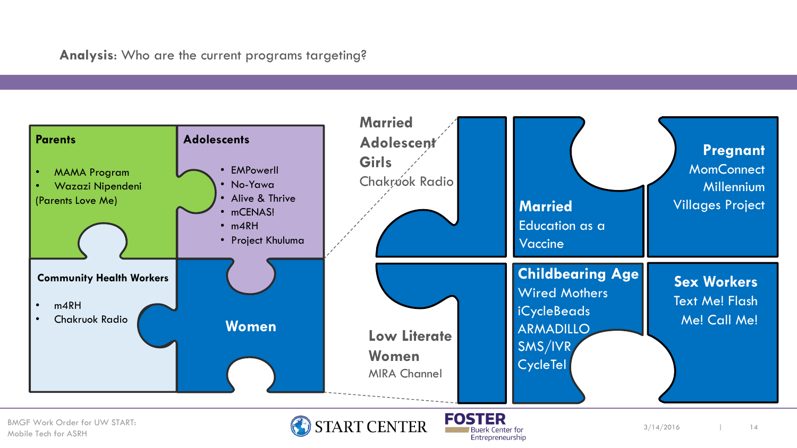

uerk Center for Entrepreneurship

BMGF Work Order for UW START: Mobile Tech for ASRH

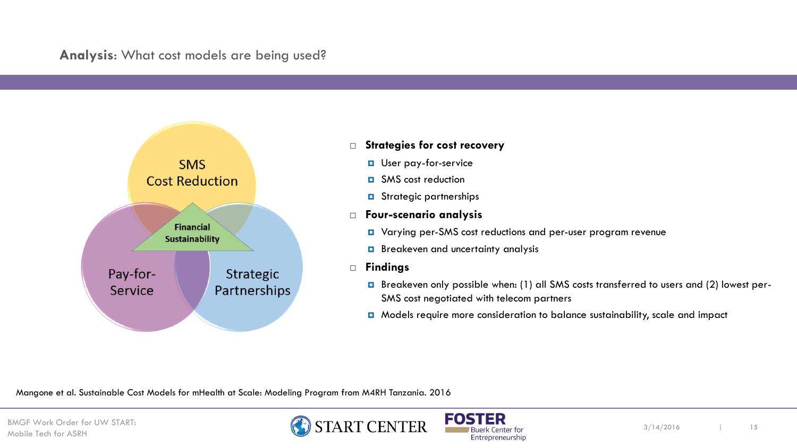## **Analysis**: What cost models are being used?



#### **Strategies for cost recovery**

- **u** User pay-for-service
- **D** SMS cost reduction
- **D** Strategic partnerships

#### **Four-scenario analysis**

- **u** Varying per-SMS cost reductions and per-user program revenue
- Breakeven and uncertainty analysis

#### **Findings**

- Breakeven only possible when: (1) all SMS costs transferred to users and (2) lowest per-SMS cost negotiated with telecom partners
- Models require more consideration to balance sustainability, scale and impact

Mangone et al. Sustainable Cost Models for mHealth at Scale: Modeling Program from M4RH Tanzania. 2016



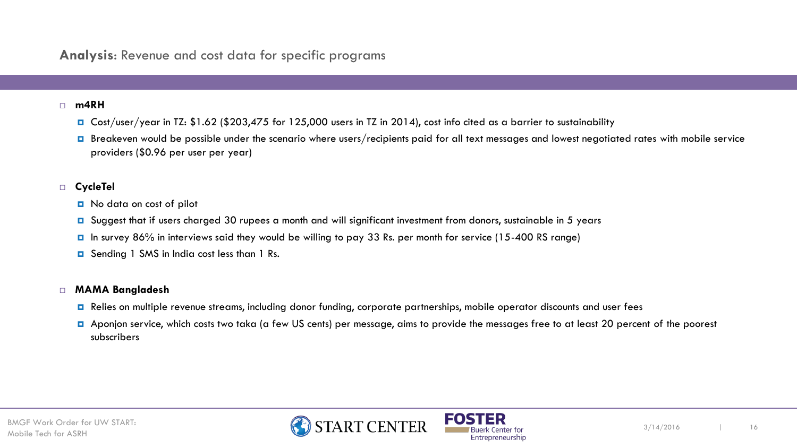## **Analysis**: Revenue and cost data for specific programs

#### **m4RH**

- Cost/user/year in TZ: \$1.62 (\$203,475 for 125,000 users in TZ in 2014), cost info cited as a barrier to sustainability
- **Breakeven would be possible under the scenario where users/recipients paid for all text messages and lowest negotiated rates with mobile service** providers (\$0.96 per user per year)

### **CycleTel**

- No data on cost of pilot
- Suggest that if users charged 30 rupees a month and will significant investment from donors, sustainable in 5 years
- In survey 86% in interviews said they would be willing to pay 33 Rs. per month for service (15-400 RS range)
- □ Sending 1 SMS in India cost less than 1 Rs.

#### **MAMA Bangladesh**

- **Relies on multiple revenue streams, including donor funding, corporate partnerships, mobile operator discounts and user fees**
- Aponjon service, which costs two taka (a few US cents) per message, aims to provide the messages free to at least 20 percent of the poorest subscribers



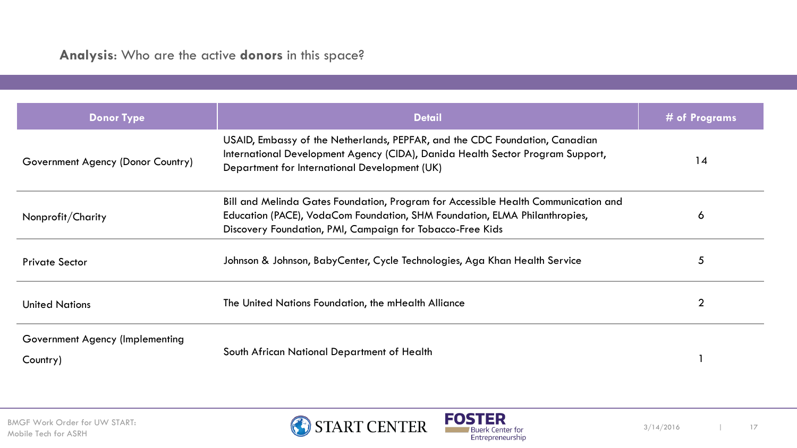| <b>Donor Type</b>                           | <b>Detail</b>                                                                                                                                                                                                                 | # of Programs |
|---------------------------------------------|-------------------------------------------------------------------------------------------------------------------------------------------------------------------------------------------------------------------------------|---------------|
| Government Agency (Donor Country)           | USAID, Embassy of the Netherlands, PEPFAR, and the CDC Foundation, Canadian<br>International Development Agency (CIDA), Danida Health Sector Program Support,<br>Department for International Development (UK)                | 14            |
| Nonprofit/Charity                           | Bill and Melinda Gates Foundation, Program for Accessible Health Communication and<br>Education (PACE), VodaCom Foundation, SHM Foundation, ELMA Philanthropies,<br>Discovery Foundation, PMI, Campaign for Tobacco-Free Kids | 6             |
| <b>Private Sector</b>                       | Johnson & Johnson, BabyCenter, Cycle Technologies, Aga Khan Health Service                                                                                                                                                    | 5             |
| <b>United Nations</b>                       | The United Nations Foundation, the mHealth Alliance                                                                                                                                                                           | 2             |
| Government Agency (Implementing<br>Country) | South African National Department of Health                                                                                                                                                                                   |               |



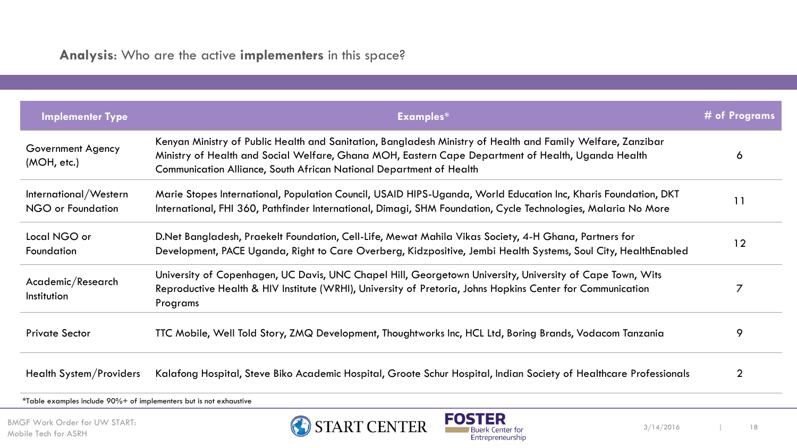| <b>Implementer Type</b>                    | <b>Examples*</b>                                                                                                                                                                                                                                                                         | # of Programs  |
|--------------------------------------------|------------------------------------------------------------------------------------------------------------------------------------------------------------------------------------------------------------------------------------------------------------------------------------------|----------------|
|                                            |                                                                                                                                                                                                                                                                                          |                |
| <b>Government Agency</b><br>(MOH, etc.)    | Kenyan Ministry of Public Health and Sanitation, Bangladesh Ministry of Health and Family Welfare, Zanzibar<br>Ministry of Health and Social Welfare, Ghana MOH, Eastern Cape Department of Health, Uganda Health<br>Communication Alliance, South African National Department of Health | 6              |
| International/Western<br>NGO or Foundation | Marie Stopes International, Population Council, USAID HIPS-Uganda, World Education Inc, Kharis Foundation, DKT<br>International, FHI 360, Pathfinder International, Dimagi, SHM Foundation, Cycle Technologies, Malaria No More                                                          | 11             |
| Local NGO or<br>Foundation                 | D.Net Bangladesh, Praekelt Foundation, Cell-Life, Mewat Mahila Vikas Society, 4-H Ghana, Partners for<br>Development, PACE Uganda, Right to Care Overberg, Kidzpositive, Jembi Health Systems, Soul City, HealthEnabled                                                                  | 12             |
| Academic/Research<br>Institution           | University of Copenhagen, UC Davis, UNC Chapel Hill, Georgetown University, University of Cape Town, Wits<br>Reproductive Health & HIV Institute (WRHI), University of Pretoria, Johns Hopkins Center for Communication<br>Programs                                                      |                |
| <b>Private Sector</b>                      | TTC Mobile, Well Told Story, ZMQ Development, Thoughtworks Inc, HCL Ltd, Boring Brands, Vodacom Tanzania                                                                                                                                                                                 | 9              |
| Health System/Providers                    | Kalafong Hospital, Steve Biko Academic Hospital, Groote Schur Hospital, Indian Society of Healthcare Professionals                                                                                                                                                                       | $\overline{2}$ |

\*Table examples include 90%+ of implementers but is not exhaustive



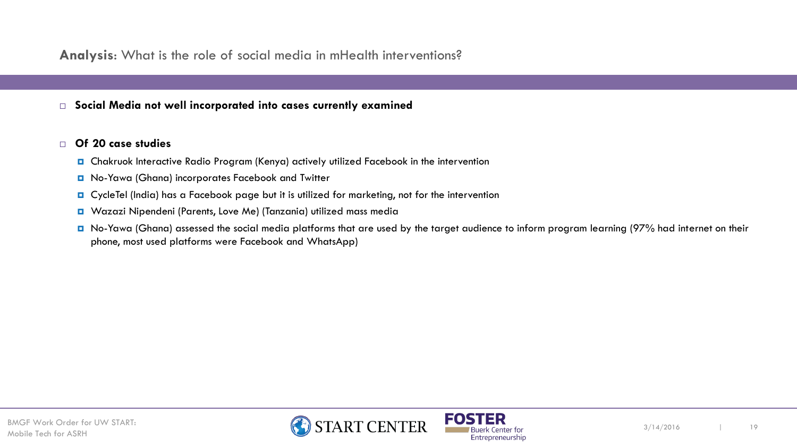## **Analysis**: What is the role of social media in mHealth interventions?

### **Social Media not well incorporated into cases currently examined**

#### **Of 20 case studies**

- Chakruok Interactive Radio Program (Kenya) actively utilized Facebook in the intervention
- **D** No-Yawa (Ghana) incorporates Facebook and Twitter
- □ CycleTel (India) has a Facebook page but it is utilized for marketing, not for the intervention
- Wazazi Nipendeni (Parents, Love Me) (Tanzania) utilized mass media
- No-Yawa (Ghana) assessed the social media platforms that are used by the target audience to inform program learning (97% had internet on their phone, most used platforms were Facebook and WhatsApp)



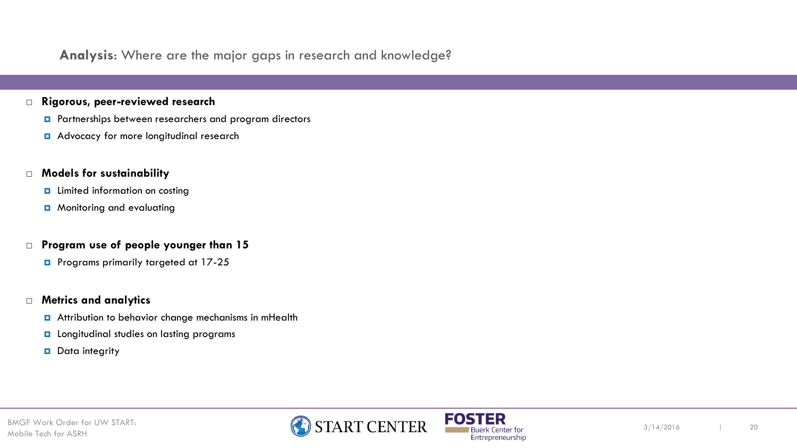## **Analysis**: Where are the major gaps in research and knowledge?

#### **Rigorous, peer-reviewed research**

- **Partnerships between researchers and program directors**
- Advocacy for more longitudinal research

#### **Models for sustainability**

- **Limited information on costing**
- **D** Monitoring and evaluating

### **Program use of people younger than 15**

**Programs primarily targeted at 17-25** 

### **Metrics and analytics**

- **E** Attribution to behavior change mechanisms in mHealth
- **Longitudinal studies on lasting programs**
- Data integrity



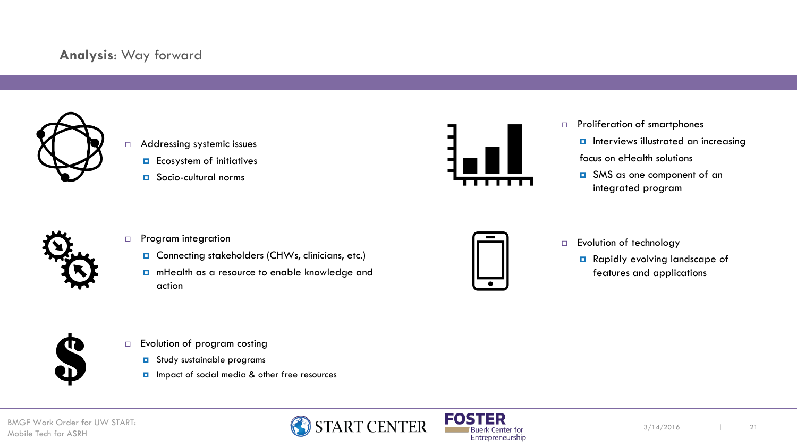## **Analysis**: Way forward



- Addressing systemic issues
	- $\Box$  Ecosystem of initiatives
	- **D** Socio-cultural norms



- Proliferation of smartphones
	- Interviews illustrated an increasing

focus on eHealth solutions

■ SMS as one component of an integrated program



- **Program integration** 
	- **Q** Connecting stakeholders (CHWs, clinicians, etc.)
	- **n** mHealth as a resource to enable knowledge and action



- $\Box$  Evolution of technology
	- Rapidly evolving landscape of features and applications



- $\Box$  Evolution of program costing
	- **D** Study sustainable programs
	- **Impact of social media & other free resources**

BMGF Work Order for UW START: Mobile Tech for ASRH



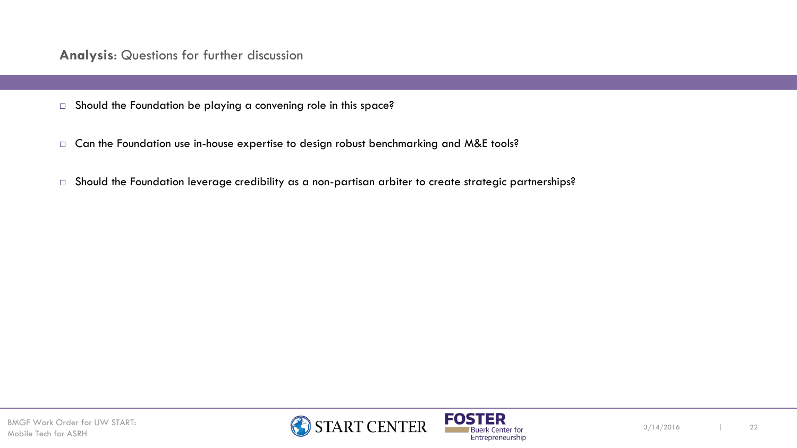- Should the Foundation be playing a convening role in this space?
- □ Can the Foundation use in-house expertise to design robust benchmarking and M&E tools?
- Should the Foundation leverage credibility as a non-partisan arbiter to create strategic partnerships?



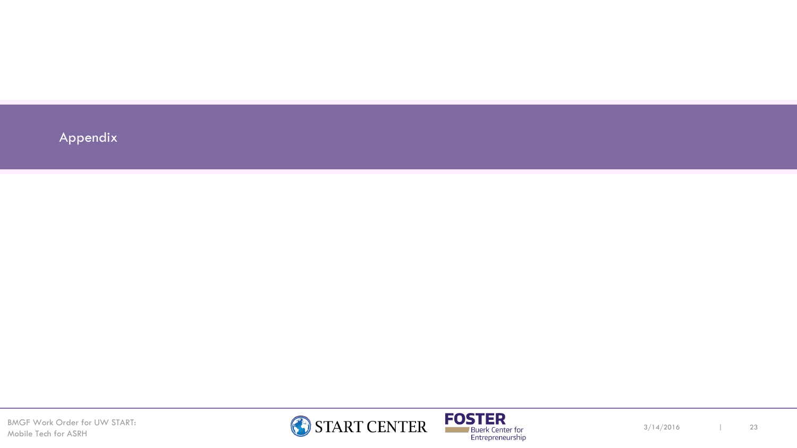Appendix



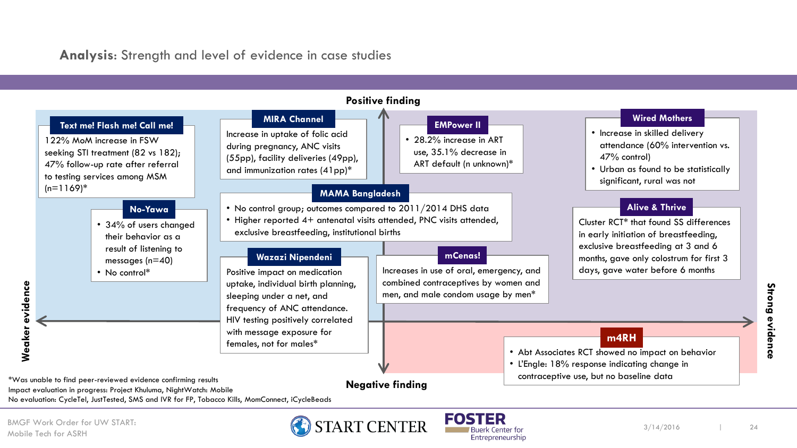## **Analysis**: Strength and level of evidence in case studies



BMGF Work Order for UW START: Mobile Tech for ASRH

**START CENTER** 

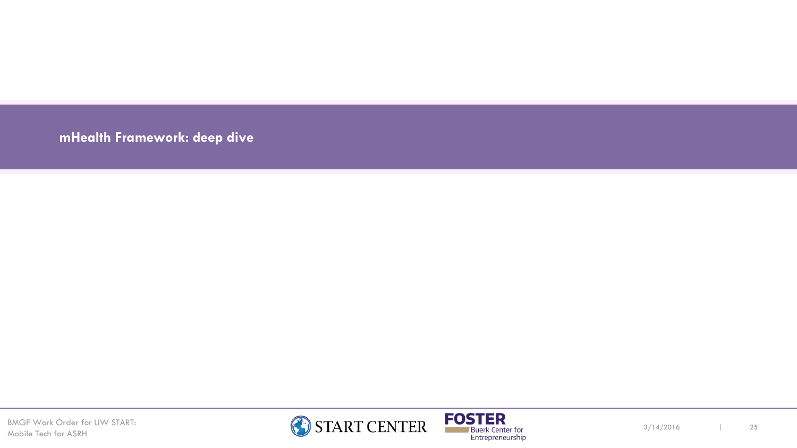**mHealth Framework: deep dive**



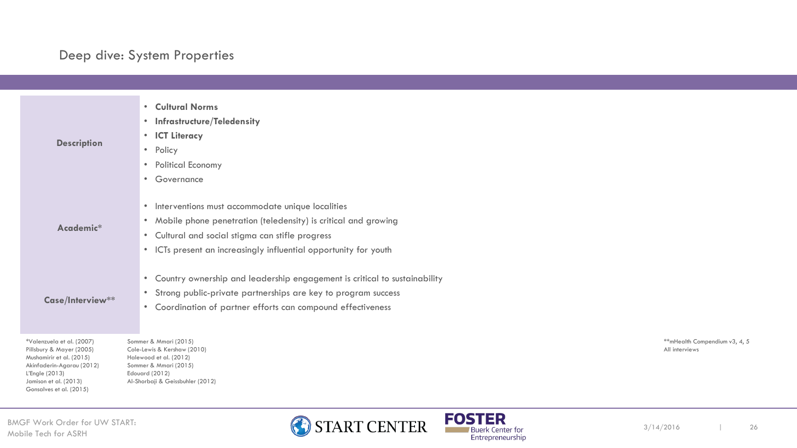## Deep dive: System Properties

| <b>Description</b>                                                                                                                                                                   | <b>• Cultural Norms</b><br>• Infrastructure/Teledensity<br>• ICT Literacy<br>• Policy<br>• Political Economy<br>• Governance                                                                                                                   |                                                  |
|--------------------------------------------------------------------------------------------------------------------------------------------------------------------------------------|------------------------------------------------------------------------------------------------------------------------------------------------------------------------------------------------------------------------------------------------|--------------------------------------------------|
| Academic*                                                                                                                                                                            | • Interventions must accommodate unique localities<br>• Mobile phone penetration (teledensity) is critical and growing<br>• Cultural and social stigma can stifle progress<br>• ICTs present an increasingly influential opportunity for youth |                                                  |
| Case/Interview**                                                                                                                                                                     | • Country ownership and leadership engagement is critical to sustainability<br>• Strong public-private partnerships are key to program success<br>• Coordination of partner efforts can compound effectiveness                                 |                                                  |
| *Valenzuela et al. (2007)<br>Pillsbury & Mayer (2005)<br>Mushamirir et al. (2015)<br>Akinfaderin-Agarau (2012)<br>L'Engle (2013)<br>Jamison et al. (2013)<br>Gonsalves et al. (2015) | Sommer & Mmari (2015)<br>Cole-Lewis & Kershaw (2010)<br>Halewood et al. (2012)<br>Sommer & Mmari (2015)<br>Edouard (2012)<br>Al-Shorbaji & Geissbuhler (2012)                                                                                  | ** mHealth Compendium v3, 4, 5<br>All interviews |



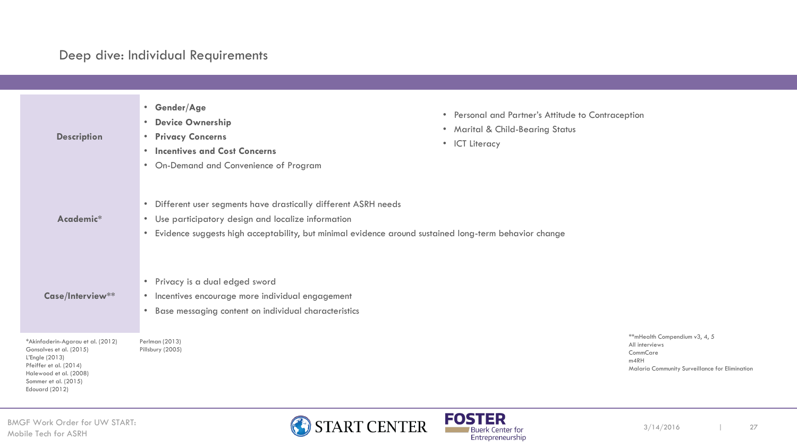## Deep dive: Individual Requirements

| <b>Description</b>                                                                                                                                                           | • Gender/Age<br>• Device Ownership<br>• Privacy Concerns<br>. Incentives and Cost Concerns<br>• On-Demand and Convenience of Program                                                                                                         | • Personal and Partner's Attitude to Contraception<br>• Marital & Child-Bearing Status<br>• ICT Literacy |                                                                                                                        |
|------------------------------------------------------------------------------------------------------------------------------------------------------------------------------|----------------------------------------------------------------------------------------------------------------------------------------------------------------------------------------------------------------------------------------------|----------------------------------------------------------------------------------------------------------|------------------------------------------------------------------------------------------------------------------------|
| Academic*                                                                                                                                                                    | • Different user segments have drastically different ASRH needs<br>• Use participatory design and localize information<br>Evidence suggests high acceptability, but minimal evidence around sustained long-term behavior change<br>$\bullet$ |                                                                                                          |                                                                                                                        |
| Case/Interview**                                                                                                                                                             | • Privacy is a dual edged sword<br>• Incentives encourage more individual engagement<br>Base messaging content on individual characteristics<br>$\bullet$                                                                                    |                                                                                                          |                                                                                                                        |
| *Akinfaderin-Agarau et al. (2012)<br>Gonsalves et al. (2015)<br>L'Engle (2013)<br>Pfeiffer et al. (2014)<br>Halewood et al. (2008)<br>Sommer et al. (2015)<br>Edouard (2012) | Perlman (2013)<br>Pillsbury (2005)                                                                                                                                                                                                           |                                                                                                          | ** mHealth Compendium v3, 4, 5<br>All interviews<br>CommCare<br>m4RH<br>Malaria Community Surveillance for Elimination |



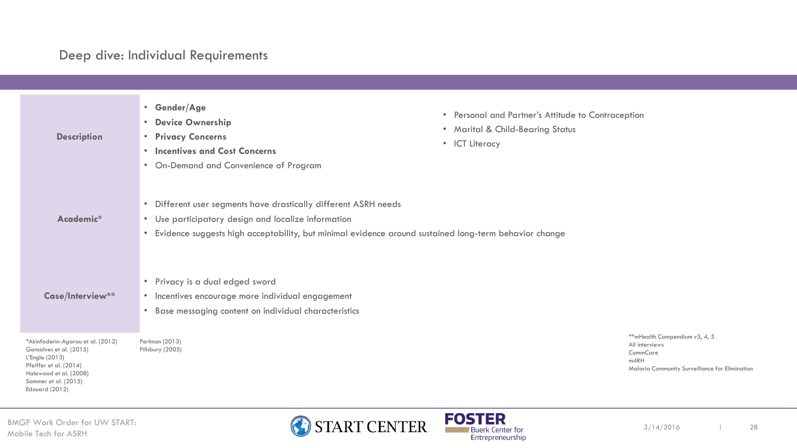## Deep dive: Individual Requirements

| <b>Description</b>                                                                                                                                                           | • Gender/Age<br>• Device Ownership<br>• Privacy Concerns<br>. Incentives and Cost Concerns<br>• On-Demand and Convenience of Program                                                                                              | • Personal and Partner's Attitude to Contraception<br>• Marital & Child-Bearing Status<br>• ICT Literacy |                                                                                                                        |
|------------------------------------------------------------------------------------------------------------------------------------------------------------------------------|-----------------------------------------------------------------------------------------------------------------------------------------------------------------------------------------------------------------------------------|----------------------------------------------------------------------------------------------------------|------------------------------------------------------------------------------------------------------------------------|
| Academic*                                                                                                                                                                    | • Different user segments have drastically different ASRH needs<br>• Use participatory design and localize information<br>• Evidence suggests high acceptability, but minimal evidence around sustained long-term behavior change |                                                                                                          |                                                                                                                        |
| Case/Interview**                                                                                                                                                             | • Privacy is a dual edged sword<br>• Incentives encourage more individual engagement<br>Base messaging content on individual characteristics<br>$\bullet$                                                                         |                                                                                                          |                                                                                                                        |
| *Akinfaderin-Agarau et al. (2012)<br>Gonsalves et al. (2015)<br>L'Engle (2013)<br>Pfeiffer et al. (2014)<br>Halewood et al. (2008)<br>Sommer et al. (2015)<br>Edouard (2012) | Perlman (2013)<br>Pillsbury (2005)                                                                                                                                                                                                |                                                                                                          | ** mHealth Compendium v3, 4, 5<br>All interviews<br>CommCare<br>m4RH<br>Malaria Community Surveillance for Elimination |



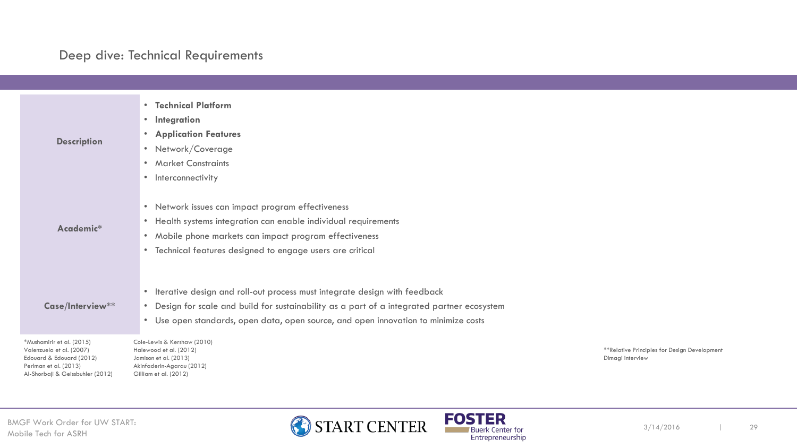## Deep dive: Technical Requirements

| <b>Description</b><br>Academic*                                                                                                                | • Technical Platform<br>• Integration<br>• Application Features<br>• Network/Coverage<br>• Market Constraints<br>• Interconnectivity<br>• Network issues can impact program effectiveness<br>• Health systems integration can enable individual requirements<br>• Mobile phone markets can impact program effectiveness<br>• Technical features designed to engage users are critical |                                                                  |
|------------------------------------------------------------------------------------------------------------------------------------------------|---------------------------------------------------------------------------------------------------------------------------------------------------------------------------------------------------------------------------------------------------------------------------------------------------------------------------------------------------------------------------------------|------------------------------------------------------------------|
| Case/Interview**                                                                                                                               | • Iterative design and roll-out process must integrate design with feedback<br>• Design for scale and build for sustainability as a part of a integrated partner ecosystem<br>• Use open standards, open data, open source, and open innovation to minimize costs                                                                                                                     |                                                                  |
| *Mushamirir et al. (2015)<br>Valenzuela et al. (2007)<br>Edouard & Edouard (2012)<br>Perlman et al. (2013)<br>Al-Shorbaji & Geissbuhler (2012) | Cole-Lewis & Kershaw (2010)<br>Halewood et al. (2012)<br>Jamison et al. (2013)<br>Akinfaderin-Agarau (2012)<br>Gilliam et al. (2012)                                                                                                                                                                                                                                                  | **Relative Principles for Design Development<br>Dimagi interview |



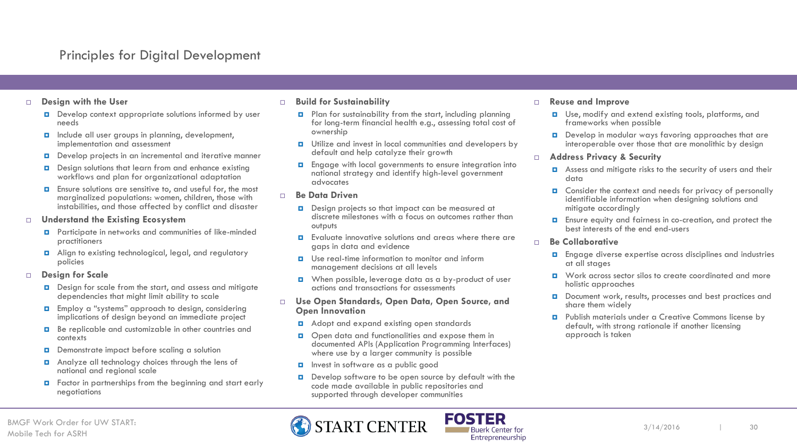## Principles for Digital Development

- **Design with the User** 
	- Develop context appropriate solutions informed by user needs
	- Include all user groups in planning, development, implementation and assessment
	- Develop projects in an incremental and iterative manner
	- Design solutions that learn from and enhance existing workflows and plan for organizational adaptation
	- **Ensure solutions are sensitive to, and useful for, the most** marginalized populations: women, children, those with instabilities, and those affected by conflict and disaster

#### **Understand the Existing Ecosystem**

- **Participate in networks and communities of like-minded** practitioners
- Align to existing technological, legal, and regulatory policies
- **Design for Scale** 
	- Design for scale from the start, and assess and mitigate dependencies that might limit ability to scale
	- **Employ a "systems" approach to design, considering** implications of design beyond an immediate project
	- Be replicable and customizable in other countries and contexts
	- **D** Demonstrate impact before scaling a solution
	- **Analyze all technology choices through the lens of** national and regional scale
	- $\Box$  Factor in partnerships from the beginning and start early negotiations

#### **Build for Sustainability**

- **Plan for sustainability from the start, including planning** for long-term financial health e.g., assessing total cost of ownership
- Utilize and invest in local communities and developers by default and help catalyze their growth
- **Engage with local governments to ensure integration into** national strategy and identify high-level government advocates
- **Be Data Driven** 
	- Design projects so that impact can be measured at discrete milestones with a focus on outcomes rather than outputs
	- **E** Evaluate innovative solutions and areas where there are gaps in data and evidence
	- **Use real-time information to monitor and inform** management decisions at all levels
	- When possible, leverage data as a by-product of user actions and transactions for assessments
- **Use Open Standards, Open Data, Open Source, and Open Innovation** 
	- Adopt and expand existing open standards
	- $\Box$  Open data and functionalities and expose them in documented APIs (Application Programming Interfaces) where use by a larger community is possible
	- Invest in software as a public good
	- Develop software to be open source by default with the code made available in public repositories and supported through developer communities

#### **Reuse and Improve**

- Use, modify and extend existing tools, platforms, and frameworks when possible
- **D** Develop in modular ways favoring approaches that are interoperable over those that are monolithic by design
- **Address Privacy & Security** 
	- Assess and mitigate risks to the security of users and their data
	- **Q** Consider the context and needs for privacy of personally identifiable information when designing solutions and mitigate accordingly
	- **Ensure equity and fairness in co-creation, and protect the** best interests of the end end-users

#### **Be Collaborative**

- **Engage diverse expertise across disciplines and industries** at all stages
- **D** Work across sector silos to create coordinated and more holistic approaches
- D Document work, results, processes and best practices and share them widely
- **Publish materials under a Creative Commons license by** default, with strong rationale if another licensing approach is taken



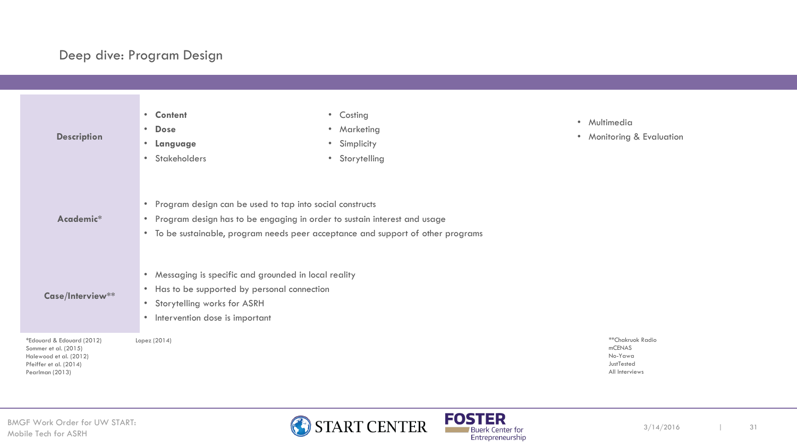## Deep dive: Program Design

| <b>Description</b>                                                                                                       | • Content<br>• Dose<br>· Language<br>• Stakeholders        | • Costing<br>• Marketing<br>• Simplicity<br>• Storytelling                       | • Multimedia<br>• Monitoring & Evaluation                                    |
|--------------------------------------------------------------------------------------------------------------------------|------------------------------------------------------------|----------------------------------------------------------------------------------|------------------------------------------------------------------------------|
| Academic*                                                                                                                | • Program design can be used to tap into social constructs | • Program design has to be engaging in order to sustain interest and usage       |                                                                              |
|                                                                                                                          |                                                            | • To be sustainable, program needs peer acceptance and support of other programs |                                                                              |
|                                                                                                                          | • Messaging is specific and grounded in local reality      |                                                                                  |                                                                              |
| Case/Interview**                                                                                                         | • Has to be supported by personal connection               |                                                                                  |                                                                              |
|                                                                                                                          | • Storytelling works for ASRH                              |                                                                                  |                                                                              |
|                                                                                                                          | • Intervention dose is important                           |                                                                                  |                                                                              |
| *Edouard & Edouard (2012)<br>Sommer et al. (2015)<br>Halewood et al. (2012)<br>Pfeiffer et al. (2014)<br>Pearlman (2013) | Lopez (2014)                                               |                                                                                  | **Chakruok Radio<br><b>mCENAS</b><br>No-Yawa<br>JustTested<br>All Interviews |



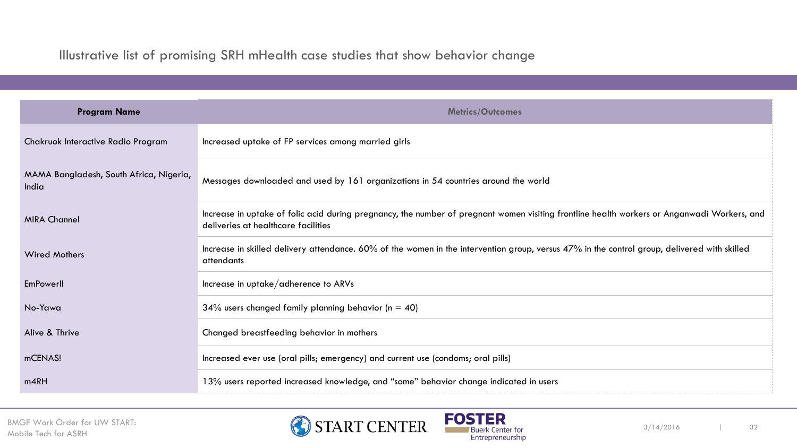## Illustrative list of promising SRH mHealth case studies that show behavior change

| <b>Program Name</b>                              | <b>Metrics/Outcomes</b>                                                                                                                                                            |  |
|--------------------------------------------------|------------------------------------------------------------------------------------------------------------------------------------------------------------------------------------|--|
| Chakruok Interactive Radio Program               | Increased uptake of FP services among married girls                                                                                                                                |  |
| MAMA Bangladesh, South Africa, Nigeria,<br>India | Messages downloaded and used by 161 organizations in 54 countries around the world                                                                                                 |  |
| <b>MIRA Channel</b>                              | Increase in uptake of folic acid during pregnancy, the number of pregnant women visiting frontline health workers or Anganwadi Workers, and<br>deliveries at healthcare facilities |  |
| <b>Wired Mothers</b>                             | Increase in skilled delivery attendance. 60% of the women in the intervention group, versus 47% in the control group, delivered with skilled<br>attendants                         |  |
| EmPowerll                                        | Increase in uptake/adherence to ARVs                                                                                                                                               |  |
| No-Yawa                                          | 34% users changed family planning behavior ( $n = 40$ )                                                                                                                            |  |
| Alive & Thrive                                   | Changed breastfeeding behavior in mothers                                                                                                                                          |  |
| mCENAS!                                          | Increased ever use (oral pills; emergency) and current use (condoms; oral pills)                                                                                                   |  |
| m4RH                                             | 13% users reported increased knowledge, and "some" behavior change indicated in users                                                                                              |  |



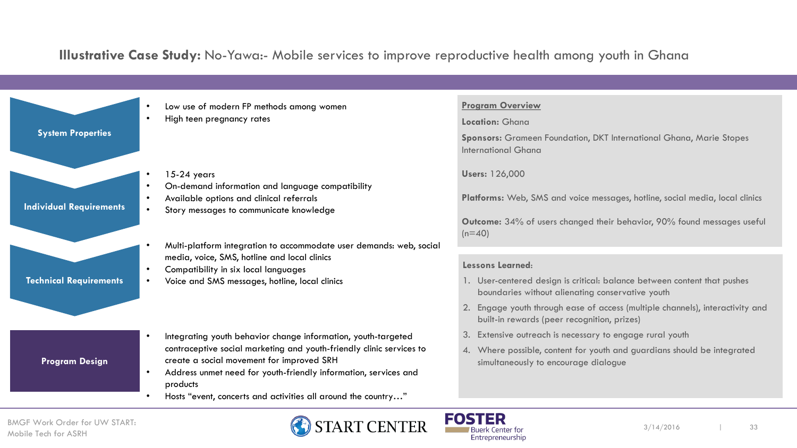## **Illustrative Case Study:** No-Yawa:- Mobile services to improve reproductive health among youth in Ghana



- Low use of modern FP methods among women
- High teen pregnancy rates

- On-demand information and language compatibility
- Available options and clinical referrals
- Story messages to communicate knowledge
- Multi-platform integration to accommodate user demands: web, social media, voice, SMS, hotline and local clinics
- Compatibility in six local languages
- Voice and SMS messages, hotline, local clinics
- Integrating youth behavior change information, youth-targeted contraceptive social marketing and youth-friendly clinic services to create a social movement for improved SRH
- Address unmet need for youth-friendly information, services and products
- Hosts "event, concerts and activities all around the country…"

# **START CENTER**

#### **Program Overview**

#### **Location:** Ghana

**Sponsors:** Grameen Foundation, DKT International Ghana, Marie Stopes International Ghana

**Users:** 126,000

**Platforms:** Web, SMS and voice messages, hotline, social media, local clinics

**Outcome:** 34% of users changed their behavior, 90% found messages useful  $(n=40)$ 

#### **Lessons Learned**:

- 1. User-centered design is critical: balance between content that pushes boundaries without alienating conservative youth
- 2. Engage youth through ease of access (multiple channels), interactivity and built-in rewards (peer recognition, prizes)
- 3. Extensive outreach is necessary to engage rural youth
- 4. Where possible, content for youth and guardians should be integrated simultaneously to encourage dialogue

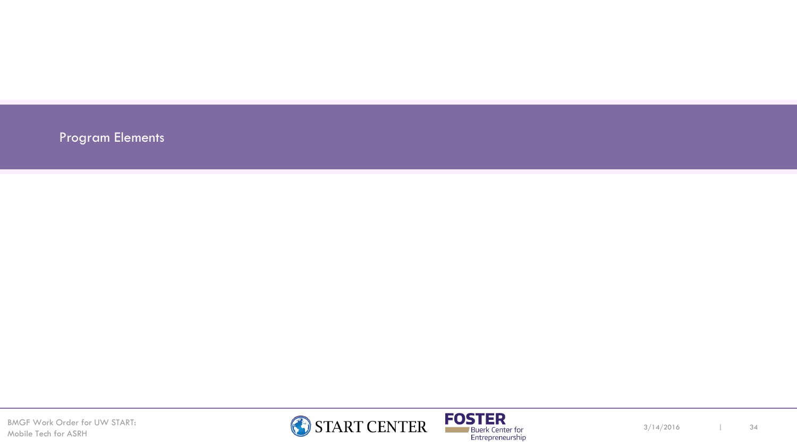Program Elements



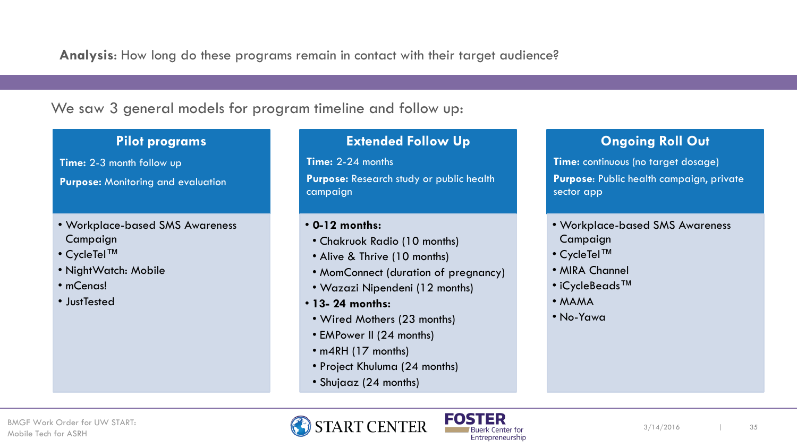**Analysis**: How long do these programs remain in contact with their target audience?

We saw 3 general models for program timeline and follow up:

## **Pilot programs**

**Time:** 2-3 month follow up **Purpose:** Monitoring and evaluation

- Workplace-based SMS Awareness Campaign
- CycleTel™
- NightWatch: Mobile
- mCenas!
- JustTested

## **Extended Follow Up**

**Time:** 2-24 months

**Purpose:** Research study or public health campaign

### • **0-12 months:**

- Chakruok Radio (10 months)
- Alive & Thrive (10 months)
- MomConnect (duration of pregnancy)
- Wazazi Nipendeni (12 months)
- **13- 24 months:**
- Wired Mothers (23 months)
- EMPower II (24 months)
- m4RH (17 months)
- Project Khuluma (24 months)
- Shujaaz (24 months)

## **Ongoing Roll Out**

**Time:** continuous (no target dosage) **Purpose**: Public health campaign, private sector app

- Workplace-based SMS Awareness Campaign
- CycleTel™
- MIRA Channel
- iCycleBeads™
- MAMA
- No-Yawa



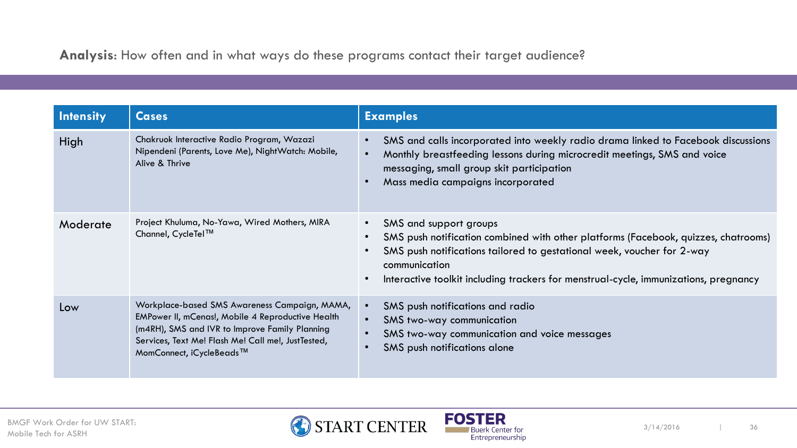**Analysis**: How often and in what ways do these programs contact their target audience?

| <b>Intensity</b> | <b>Cases</b>                                                                                                                                                                                                                                       | <b>Examples</b>                                                                                                                                                                                                                                                                                                                                     |
|------------------|----------------------------------------------------------------------------------------------------------------------------------------------------------------------------------------------------------------------------------------------------|-----------------------------------------------------------------------------------------------------------------------------------------------------------------------------------------------------------------------------------------------------------------------------------------------------------------------------------------------------|
| High             | Chakruok Interactive Radio Program, Wazazi<br>Nipendeni (Parents, Love Me), NightWatch: Mobile,<br>Alive & Thrive                                                                                                                                  | SMS and calls incorporated into weekly radio drama linked to Facebook discussions<br>$\bullet$<br>Monthly breastfeeding lessons during microcredit meetings, SMS and voice<br>$\bullet$<br>messaging, small group skit participation<br>Mass media campaigns incorporated<br>$\bullet$                                                              |
| Moderate         | Project Khuluma, No-Yawa, Wired Mothers, MIRA<br>Channel, CycleTel™                                                                                                                                                                                | SMS and support groups<br>$\bullet$<br>SMS push notification combined with other platforms (Facebook, quizzes, chatrooms)<br>$\bullet$<br>SMS push notifications tailored to gestational week, voucher for 2-way<br>$\bullet$<br>communication<br>Interactive toolkit including trackers for menstrual-cycle, immunizations, pregnancy<br>$\bullet$ |
| Low              | Workplace-based SMS Awareness Campaign, MAMA,<br>EMPower II, mCenas!, Mobile 4 Reproductive Health<br>(m4RH), SMS and IVR to Improve Family Planning<br>Services, Text Me! Flash Me! Call me!, JustTested,<br>MomConnect, iCycleBeads <sup>™</sup> | SMS push notifications and radio<br>$\bullet$<br>SMS two-way communication<br>$\bullet$<br>SMS two-way communication and voice messages<br>$\bullet$<br>SMS push notifications alone                                                                                                                                                                |



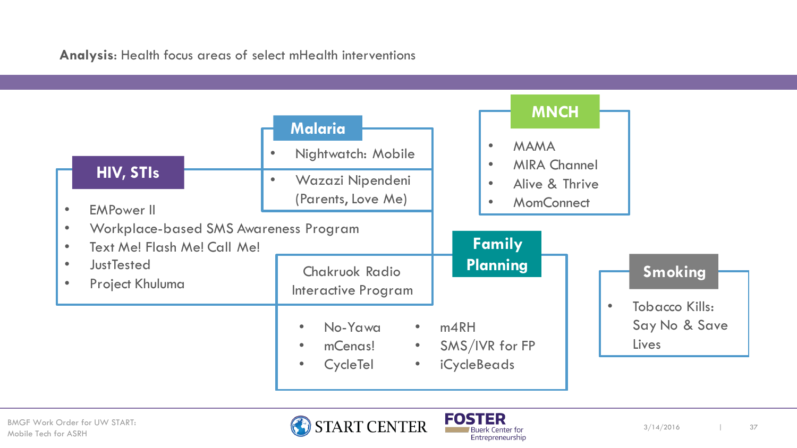**Analysis**: Health focus areas of select mHealth interventions





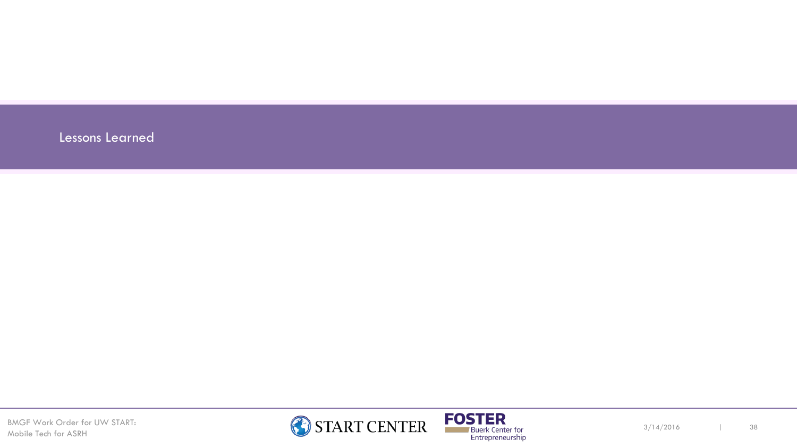Lessons Learned



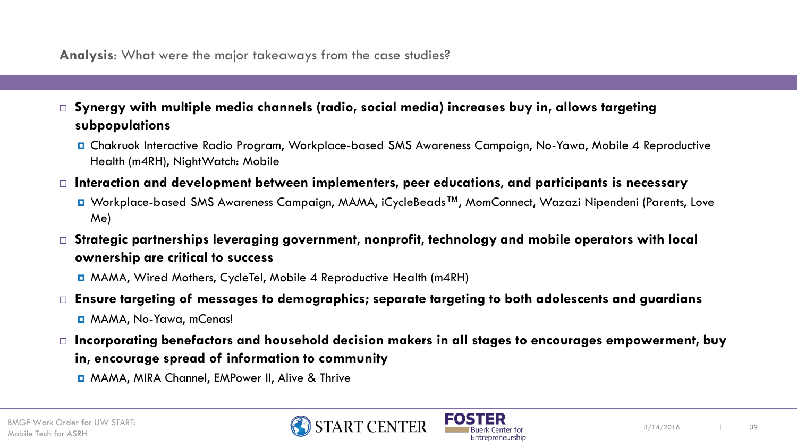## **Analysis**: What were the major takeaways from the case studies?

- **Synergy with multiple media channels (radio, social media) increases buy in, allows targeting subpopulations**
	- Chakruok Interactive Radio Program, Workplace-based SMS Awareness Campaign, No-Yawa, Mobile 4 Reproductive Health (m4RH), NightWatch: Mobile
- **Interaction and development between implementers, peer educations, and participants is necessary**
	- Workplace-based SMS Awareness Campaign, MAMA, iCycleBeads™, MomConnect, Wazazi Nipendeni (Parents, Love Me)
- **Strategic partnerships leveraging government, nonprofit, technology and mobile operators with local ownership are critical to success**
	- MAMA, Wired Mothers, CycleTel, Mobile 4 Reproductive Health (m4RH)
- **Ensure targeting of messages to demographics; separate targeting to both adolescents and guardians D** MAMA, No-Yawa, mCenas!
- **Incorporating benefactors and household decision makers in all stages to encourages empowerment, buy in, encourage spread of information to community**
	- **D** MAMA, MIRA Channel, EMPower II, Alive & Thrive